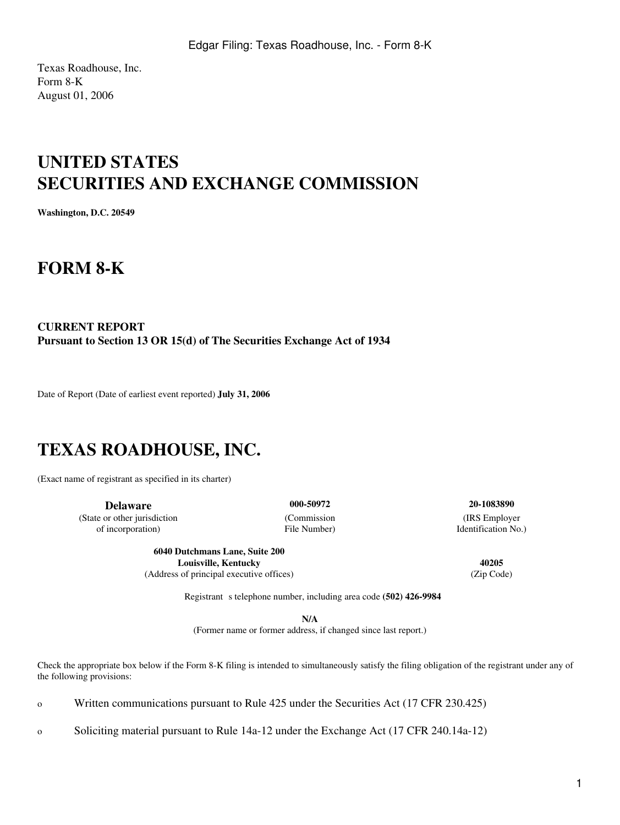Texas Roadhouse, Inc. Form 8-K August 01, 2006

# **UNITED STATES SECURITIES AND EXCHANGE COMMISSION**

**Washington, D.C. 20549**

## **FORM 8-K**

### **CURRENT REPORT Pursuant to Section 13 OR 15(d) of The Securities Exchange Act of 1934**

Date of Report (Date of earliest event reported) **July 31, 2006**

## **TEXAS ROADHOUSE, INC.**

(Exact name of registrant as specified in its charter)

**Delaware 000-50972 20-1083890** (State or other jurisdiction (Commission (IRS Employer of incorporation) File Number) Identification No.)

**6040 Dutchmans Lane, Suite 200 Louisville, Kentucky 40205** (Address of principal executive offices) (Zip Code)

Registrant s telephone number, including area code (502) 426-9984

**N/A**

(Former name or former address, if changed since last report.)

Check the appropriate box below if the Form 8-K filing is intended to simultaneously satisfy the filing obligation of the registrant under any of the following provisions:

o Written communications pursuant to Rule 425 under the Securities Act (17 CFR 230.425)

o Soliciting material pursuant to Rule 14a-12 under the Exchange Act (17 CFR 240.14a-12)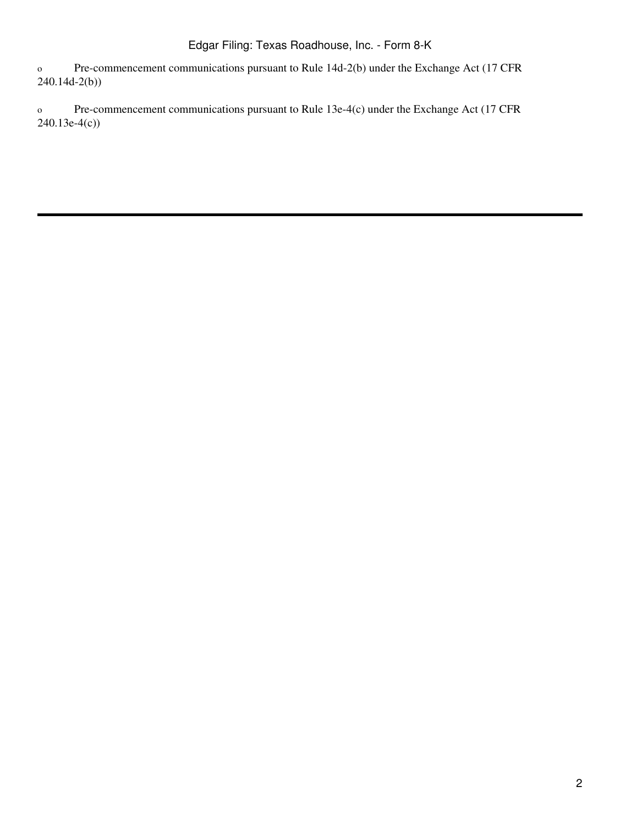o Pre-commencement communications pursuant to Rule 14d-2(b) under the Exchange Act (17 CFR 240.14d-2(b))

o Pre-commencement communications pursuant to Rule 13e-4(c) under the Exchange Act (17 CFR 240.13e-4(c))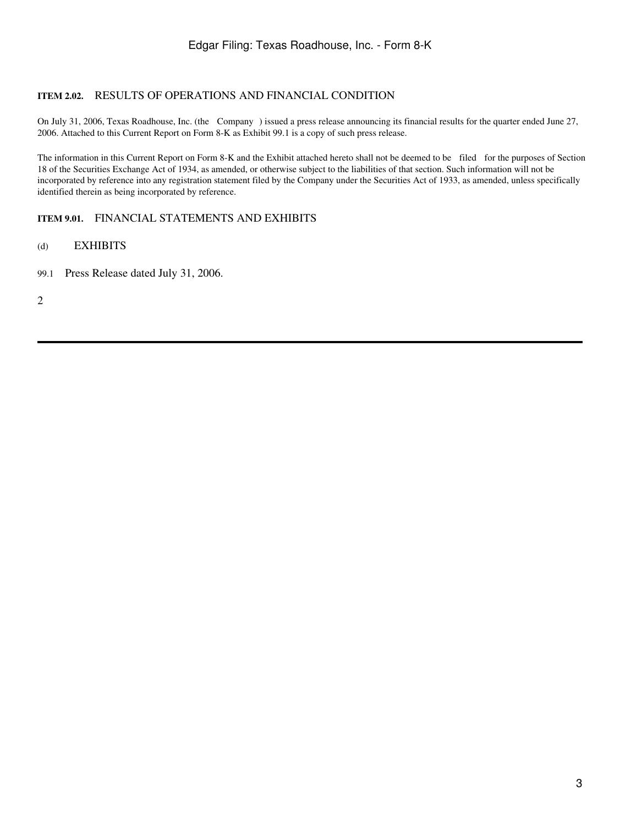#### **ITEM 2.02.** RESULTS OF OPERATIONS AND FINANCIAL CONDITION

On July 31, 2006, Texas Roadhouse, Inc. (the Company ) issued a press release announcing its financial results for the quarter ended June 27, 2006. Attached to this Current Report on Form 8-K as Exhibit 99.1 is a copy of such press release.

The information in this Current Report on Form 8-K and the Exhibit attached hereto shall not be deemed to be filed for the purposes of Section 18 of the Securities Exchange Act of 1934, as amended, or otherwise subject to the liabilities of that section. Such information will not be incorporated by reference into any registration statement filed by the Company under the Securities Act of 1933, as amended, unless specifically identified therein as being incorporated by reference.

### **ITEM 9.01.** FINANCIAL STATEMENTS AND EXHIBITS

#### (d) EXHIBITS

99.1 Press Release dated July 31, 2006.

2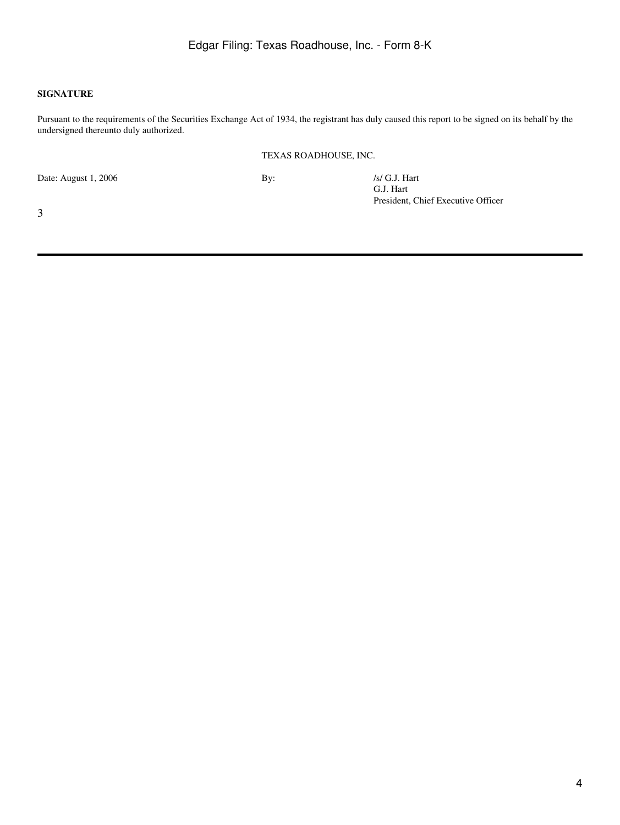#### **SIGNATURE**

Pursuant to the requirements of the Securities Exchange Act of 1934, the registrant has duly caused this report to be signed on its behalf by the undersigned thereunto duly authorized.

#### TEXAS ROADHOUSE, INC.

Date: August 1, 2006 By: /s/ G.J. Hart

G.J. Hart President, Chief Executive Officer

3